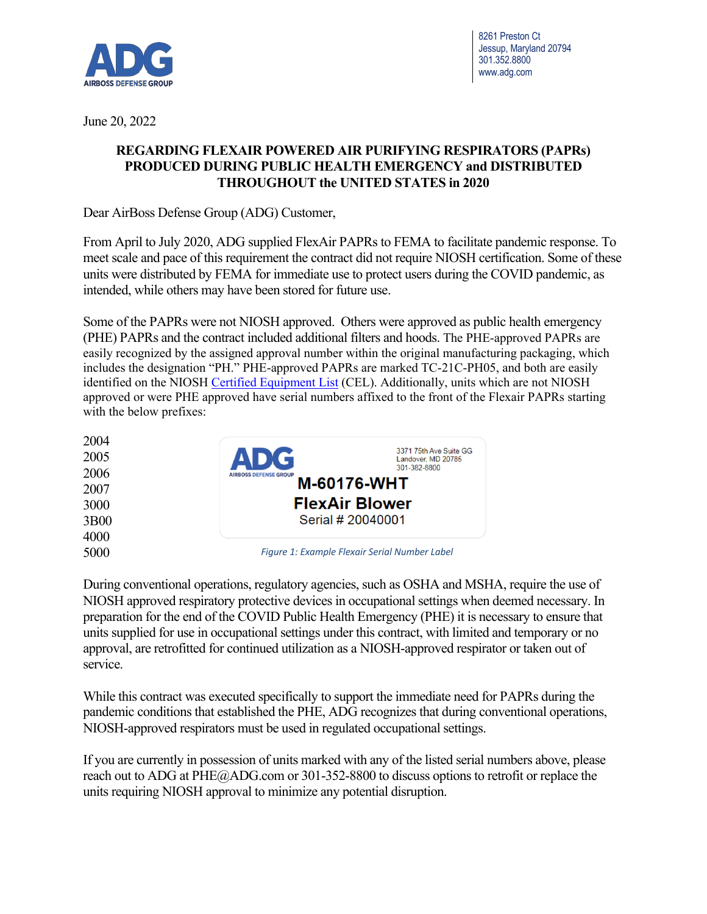

8261 Preston Ct Jessup, Maryland 20794 301.352.8800 www.adg.com

June 20, 2022

## **REGARDING FLEXAIR POWERED AIR PURIFYING RESPIRATORS (PAPRs) PRODUCED DURING PUBLIC HEALTH EMERGENCY and DISTRIBUTED THROUGHOUT the UNITED STATES in 2020**

Dear AirBoss Defense Group (ADG) Customer,

From April to July 2020, ADG supplied FlexAir PAPRs to FEMA to facilitate pandemic response. To meet scale and pace of this requirement the contract did not require NIOSH certification. Some of these units were distributed by FEMA for immediate use to protect users during the COVID pandemic, as intended, while others may have been stored for future use.

Some of the PAPRs were not NIOSH approved. Others were approved as public health emergency (PHE) PAPRs and the contract included additional filters and hoods. The PHE-approved PAPRs are easily recognized by the assigned approval number within the original manufacturing packaging, which includes the designation "PH." PHE-approved PAPRs are marked TC-21C-PH05, and both are easily identified on the NIOSH Certified Equipment List (CEL). Additionally, units which are not NIOSH approved or were PHE approved have serial numbers affixed to the front of the Flexair PAPRs starting with the below prefixes:

| 2004             |                                               |                                              |
|------------------|-----------------------------------------------|----------------------------------------------|
| 2005             | <b>ADG</b>                                    | 3371 75th Ave Suite GG<br>Landover, MD 20785 |
| 2006             | <b>AIRBOSS DEFENSE GROUP</b>                  | 301-382-8800                                 |
| 2007             | <b>M-60176-WHT</b><br><b>FlexAir Blower</b>   |                                              |
| 3000             |                                               |                                              |
| 3B <sub>00</sub> |                                               | Serial # 20040001                            |
| 4000             |                                               |                                              |
| 5000             | Figure 1: Example Flexair Serial Number Label |                                              |

During conventional operations, regulatory agencies, such as OSHA and MSHA, require the use of NIOSH approved respiratory protective devices in occupational settings when deemed necessary. In preparation for the end of the COVID Public Health Emergency (PHE) it is necessary to ensure that units supplied for use in occupational settings under this contract, with limited and temporary or no approval, are retrofitted for continued utilization as a NIOSH-approved respirator or taken out of service.

While this contract was executed specifically to support the immediate need for PAPRs during the pandemic conditions that established the PHE, ADG recognizes that during conventional operations, NIOSH-approved respirators must be used in regulated occupational settings.

If you are currently in possession of units marked with any of the listed serial numbers above, please reach out to ADG at PHE@ADG.com or 301-352-8800 to discuss options to retrofit or replace the units requiring NIOSH approval to minimize any potential disruption.